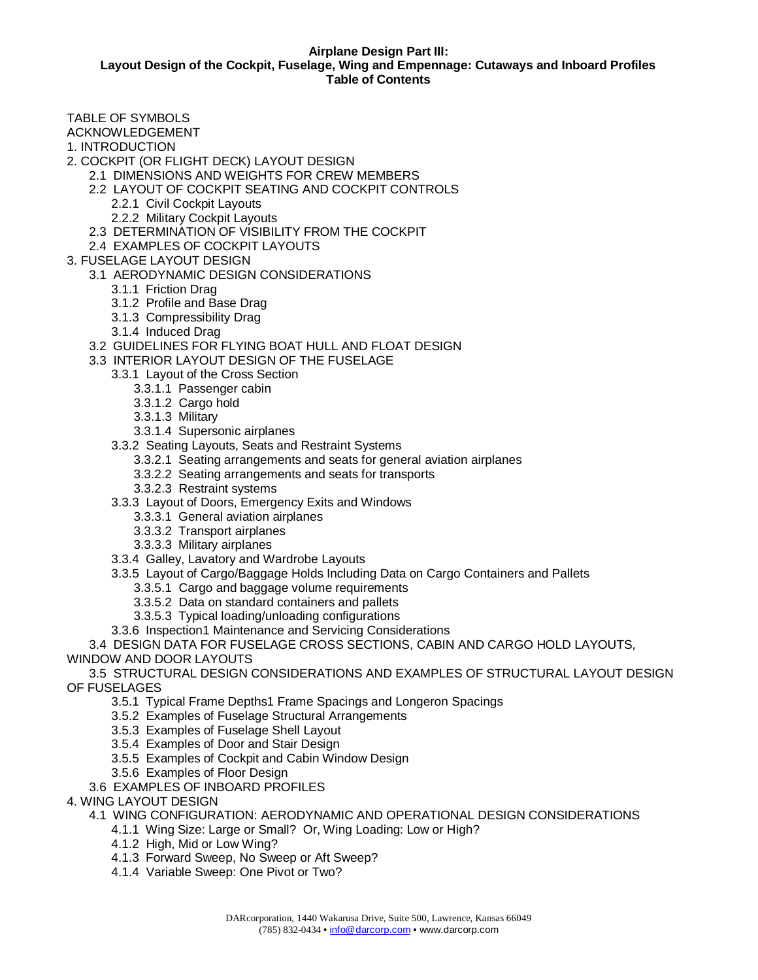## **Airplane Design Part III: Layout Design of the Cockpit, Fuselage, Wing and Empennage: Cutaways and Inboard Profiles Table of Contents**

TABLE OF SYMBOLS

ACKNOWLEDGEMENT

- 1. INTRODUCTION
- 2. COCKPIT (OR FLIGHT DECK) LAYOUT DESIGN
	- 2.1 DIMENSIONS AND WEIGHTS FOR CREW MEMBERS
		- 2.2 LAYOUT OF COCKPIT SEATING AND COCKPIT CONTROLS
			- 2.2.1 Civil Cockpit Layouts
			- 2.2.2 Military Cockpit Layouts
		- 2.3 DETERMINATION OF VISIBILITY FROM THE COCKPIT
	- 2.4 EXAMPLES OF COCKPIT LAYOUTS
- 3. FUSELAGE LAYOUT DESIGN
	- 3.1 AERODYNAMIC DESIGN CONSIDERATIONS
		- 3.1.1 Friction Drag
		- 3.1.2 Profile and Base Drag
		- 3.1.3 Compressibility Drag
		- 3.1.4 Induced Drag
	- 3.2 GUIDELINES FOR FLYING BOAT HULL AND FLOAT DESIGN
	- 3.3 INTERIOR LAYOUT DESIGN OF THE FUSELAGE
		- 3.3.1 Layout of the Cross Section
			- 3.3.1.1 Passenger cabin
			- 3.3.1.2 Cargo hold
			- 3.3.1.3 Military
			- 3.3.1.4 Supersonic airplanes
		- 3.3.2 Seating Layouts, Seats and Restraint Systems
			- 3.3.2.1 Seating arrangements and seats for general aviation airplanes
			- 3.3.2.2 Seating arrangements and seats for transports
			- 3.3.2.3 Restraint systems
		- 3.3.3 Layout of Doors, Emergency Exits and Windows
			- 3.3.3.1 General aviation airplanes
			- 3.3.3.2 Transport airplanes
			- 3.3.3.3 Military airplanes
		- 3.3.4 Galley, Lavatory and Wardrobe Layouts
		- 3.3.5 Layout of Cargo/Baggage Holds Including Data on Cargo Containers and Pallets
			- 3.3.5.1 Cargo and baggage volume requirements
			- 3.3.5.2 Data on standard containers and pallets
			- 3.3.5.3 Typical loading/unloading configurations
		- 3.3.6 Inspection1 Maintenance and Servicing Considerations

3.4 DESIGN DATA FOR FUSELAGE CROSS SECTIONS, CABIN AND CARGO HOLD LAYOUTS, WINDOW AND DOOR LAYOUTS

3.5 STRUCTURAL DESIGN CONSIDERATIONS AND EXAMPLES OF STRUCTURAL LAYOUT DESIGN OF FUSELAGES

- 3.5.1 Typical Frame Depths1 Frame Spacings and Longeron Spacings
- 3.5.2 Examples of Fuselage Structural Arrangements
- 3.5.3 Examples of Fuselage Shell Layout
- 3.5.4 Examples of Door and Stair Design
- 3.5.5 Examples of Cockpit and Cabin Window Design
- 3.5.6 Examples of Floor Design
- 3.6 EXAMPLES OF INBOARD PROFILES

## 4. WING LAYOUT DESIGN

- 4.1 WING CONFIGURATION: AERODYNAMIC AND OPERATIONAL DESIGN CONSIDERATIONS
	- 4.1.1 Wing Size: Large or Small? Or, Wing Loading: Low or High?
	- 4.1.2 High, Mid or Low Wing?
	- 4.1.3 Forward Sweep, No Sweep or Aft Sweep?
	- 4.1.4 Variable Sweep: One Pivot or Two?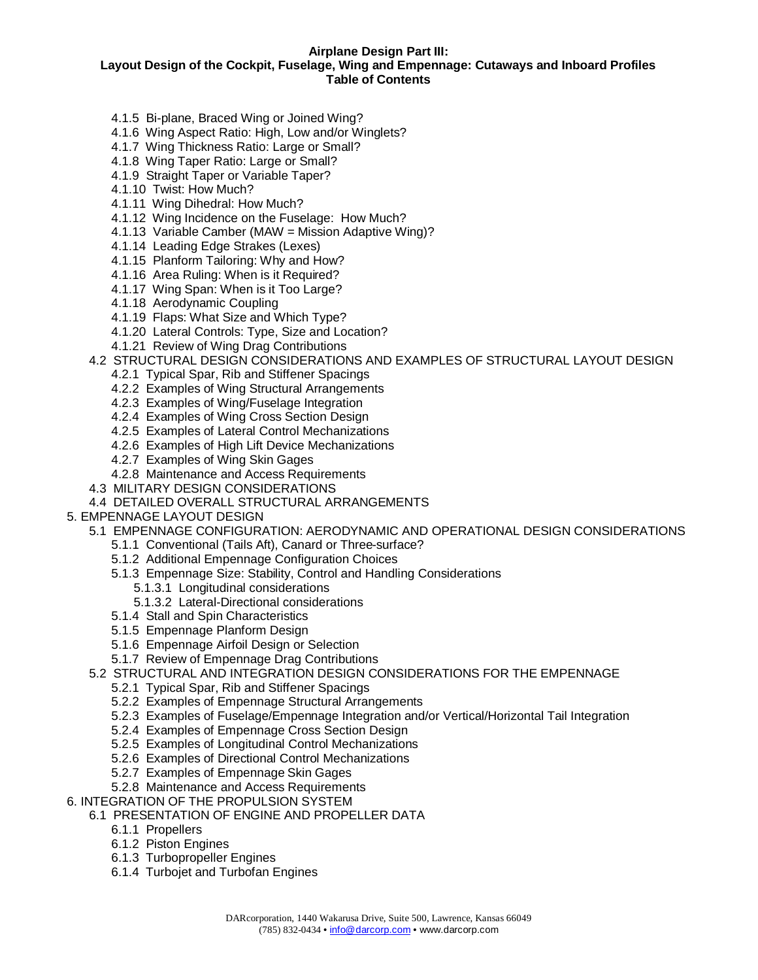## **Airplane Design Part III: Layout Design of the Cockpit, Fuselage, Wing and Empennage: Cutaways and Inboard Profiles Table of Contents**

- 4.1.5 Bi-plane, Braced Wing or Joined Wing?
- 4.1.6 Wing Aspect Ratio: High, Low and/or Winglets?
- 4.1.7 Wing Thickness Ratio: Large or Small?
- 4.1.8 Wing Taper Ratio: Large or Small?
- 4.1.9 Straight Taper or Variable Taper?
- 4.1.10 Twist: How Much?
- 4.1.11 Wing Dihedral: How Much?
- 4.1.12 Wing Incidence on the Fuselage: How Much?
- 4.1.13 Variable Camber (MAW = Mission Adaptive Wing)?
- 4.1.14 Leading Edge Strakes (Lexes)
- 4.1.15 Planform Tailoring: Why and How?
- 4.1.16 Area Ruling: When is it Required?
- 4.1.17 Wing Span: When is it Too Large?
- 4.1.18 Aerodynamic Coupling
- 4.1.19 Flaps: What Size and Which Type?
- 4.1.20 Lateral Controls: Type, Size and Location?
- 4.1.21 Review of Wing Drag Contributions

4.2 STRUCTURAL DESIGN CONSIDERATIONS AND EXAMPLES OF STRUCTURAL LAYOUT DESIGN

- 4.2.1 Typical Spar, Rib and Stiffener Spacings
- 4.2.2 Examples of Wing Structural Arrangements
- 4.2.3 Examples of Wing/Fuselage Integration
- 4.2.4 Examples of Wing Cross Section Design
- 4.2.5 Examples of Lateral Control Mechanizations
- 4.2.6 Examples of High Lift Device Mechanizations
- 4.2.7 Examples of Wing Skin Gages
- 4.2.8 Maintenance and Access Requirements
- 4.3 MILITARY DESIGN CONSIDERATIONS
- 4.4 DETAILED OVERALL STRUCTURAL ARRANGEMENTS
- 5. EMPENNAGE LAYOUT DESIGN
	- 5.1 EMPENNAGE CONFIGURATION: AERODYNAMIC AND OPERATIONAL DESIGN CONSIDERATIONS
		- 5.1.1 Conventional (Tails Aft), Canard or Three-surface?
		- 5.1.2 Additional Empennage Configuration Choices
		- 5.1.3 Empennage Size: Stability, Control and Handling Considerations
			- 5.1.3.1 Longitudinal considerations
			- 5.1.3.2 Lateral-Directional considerations
		- 5.1.4 Stall and Spin Characteristics
		- 5.1.5 Empennage Planform Design
		- 5.1.6 Empennage Airfoil Design or Selection
		- 5.1.7 Review of Empennage Drag Contributions
	- 5.2 STRUCTURAL AND INTEGRATION DESIGN CONSIDERATIONS FOR THE EMPENNAGE
		- 5.2.1 Typical Spar, Rib and Stiffener Spacings
		- 5.2.2 Examples of Empennage Structural Arrangements
		- 5.2.3 Examples of Fuselage/Empennage Integration and/or Vertical/Horizontal Tail Integration
		- 5.2.4 Examples of Empennage Cross Section Design
		- 5.2.5 Examples of Longitudinal Control Mechanizations
		- 5.2.6 Examples of Directional Control Mechanizations
		- 5.2.7 Examples of Empennage Skin Gages
		- 5.2.8 Maintenance and Access Requirements
- 6. INTEGRATION OF THE PROPULSION SYSTEM
	- 6.1 PRESENTATION OF ENGINE AND PROPELLER DATA
		- 6.1.1 Propellers
		- 6.1.2 Piston Engines
		- 6.1.3 Turbopropeller Engines
		- 6.1.4 Turbojet and Turbofan Engines